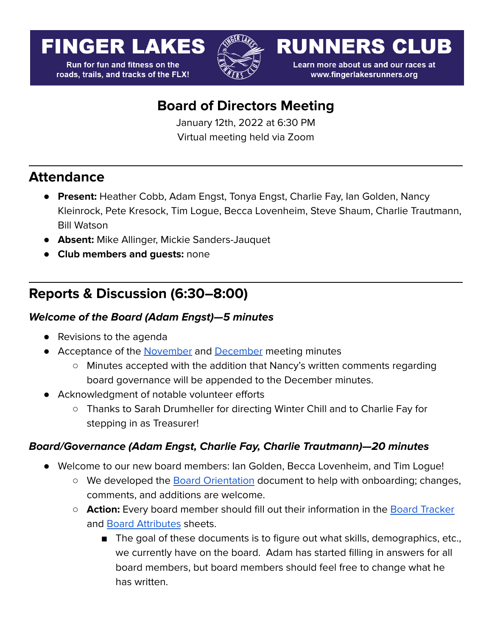# **FINGER LAKES**

**Run for fun and fitness on the** roads, trails, and tracks of the FLX!



**RUNNERS CLUB** 

Learn more about us and our races at www.fingerlakesrunners.org

## **Board of Directors Meeting**

January 12th, 2022 at 6:30 PM Virtual meeting held via Zoom

### **Attendance**

- **Present:** Heather Cobb, Adam Engst, Tonya Engst, Charlie Fay, Ian Golden, Nancy Kleinrock, Pete Kresock, Tim Logue, Becca Lovenheim, Steve Shaum, Charlie Trautmann, Bill Watson
- **Absent:** Mike Allinger, Mickie Sanders-Jauquet
- **Club members and guests:** none

## **Reports & Discussion (6:30–8:00)**

#### **Welcome of the Board (Adam Engst)—5 minutes**

- Revisions to the agenda
- Acceptance of the **[November](https://drive.google.com/file/d/1cyk4IoIc-z0tYfcmdLk6iZG_sB4fEkHa/view?usp=sharing)** and **[December](https://docs.google.com/document/d/1_D_AvZPB_T0hb_NZ9tCBNHg_6s-9m1mVFpkzwCHOhHc/edit)** meeting minutes
	- Minutes accepted with the addition that Nancy's written comments regarding board governance will be appended to the December minutes.
- Acknowledgment of notable volunteer efforts
	- Thanks to Sarah Drumheller for directing Winter Chill and to Charlie Fay for stepping in as Treasurer!

#### **Board/Governance (Adam Engst, Charlie Fay, Charlie Trautmann)—20 minutes**

- Welcome to our new board members: Ian Golden, Becca Lovenheim, and Tim Logue!
	- We developed the **Board [Orientation](https://docs.google.com/document/d/1lH4JQT_x0l5Y3KW8tEbQjAdCTjgp1FdJUNVhHQEaFY4/edit?usp=sharing)** document to help with onboarding; changes, comments, and additions are welcome.
	- **Action:** Every board member should fill out their information in the Board [Tracker](https://docs.google.com/spreadsheets/d/1-OHtzJli5Kkdk65JmftTzfdTnDQGMRo5ZZWKK0_ENgc/edit?usp=sharing) and Board [Attributes](https://docs.google.com/spreadsheets/d/1O8exFOuOBmAOZgUukwwvJhjF9F2r98RX6eaFZTEV0Ic/edit?usp=sharing) sheets.
		- The goal of these documents is to figure out what skills, demographics, etc., we currently have on the board. Adam has started filling in answers for all board members, but board members should feel free to change what he has written.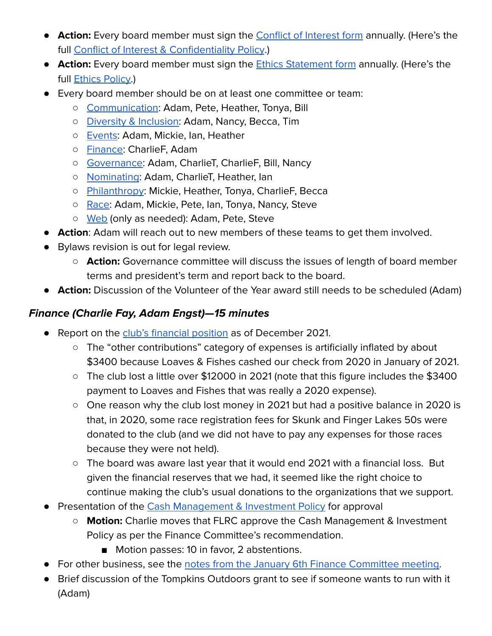- **Action:** Every board member must sign the [Conflict](https://forms.gle/r96QiLLsbPhvusgbA) of Interest form annually. (Here's the full Conflict of Interest & [Confidentiality](https://drive.google.com/open?id=1MlMG8c23ZRid1WFjoQivtrZs9JJ3LlzA) Policy.)
- **Action:** Every board member must sign the Ethics [Statement](https://forms.gle/AazcgrHsSDH8Hem26) form annually. (Here's the full **Ethics [Policy.](https://drive.google.com/file/d/11dEE6sb6ZP1rA06zndasPRNpEvV0qCBO/view?usp=sharing)**)
- Every board member should be on at least one committee or team:
	- [Communication](https://forum.fingerlakesrunners.org/c/communication-team/10): Adam, Pete, Heather, Tonya, Bill
	- Diversity & [Inclusion:](https://forum.fingerlakesrunners.org/c/diversity-committee/27) Adam, Nancy, Becca, Tim
	- [Events](https://forum.fingerlakesrunners.org/c/events-team/11): Adam, Mickie, Ian, Heather
	- o [Finance:](https://forum.fingerlakesrunners.org/c/finance-committee/12) CharlieF, Adam
	- [Governance:](https://forum.fingerlakesrunners.org/c/governance-committee/13) Adam, CharlieT, CharlieF, Bill, Nancy
	- [Nominating](https://forum.fingerlakesrunners.org/c/nominating-committee/14): Adam, CharlieT, Heather, Ian
	- [Philanthropy](https://forum.fingerlakesrunners.org/c/philanthropy-committee/15): Mickie, Heather, Tonya, CharlieF, Becca
	- [Race](https://forum.fingerlakesrunners.org/c/race-directors/9): Adam, Mickie, Pete, Ian, Tonya, Nancy, Steve
	- o [Web](https://forum.fingerlakesrunners.org/c/web-team/17) (only as needed): Adam, Pete, Steve
- **● Action**: Adam will reach out to new members of these teams to get them involved.
- Bylaws revision is out for legal review.
	- **Action:** Governance committee will discuss the issues of length of board member terms and president's term and report back to the board.
- **Action:** Discussion of the Volunteer of the Year award still needs to be scheduled (Adam)

#### **Finance (Charlie Fay, Adam Engst)—15 minutes**

- Report on the club's [financial](https://drive.google.com/file/d/1WVZW6H4kIYPUHtJKyehLhnq9rCl7jhdI/view?usp=sharing) position as of December 2021.
	- The "other contributions" category of expenses is artificially inflated by about \$3400 because Loaves & Fishes cashed our check from 2020 in January of 2021.
	- The club lost a little over \$12000 in 2021 (note that this figure includes the \$3400 payment to Loaves and Fishes that was really a 2020 expense).
	- One reason why the club lost money in 2021 but had a positive balance in 2020 is that, in 2020, some race registration fees for Skunk and Finger Lakes 50s were donated to the club (and we did not have to pay any expenses for those races because they were not held).
	- The board was aware last year that it would end 2021 with a financial loss. But given the financial reserves that we had, it seemed like the right choice to continue making the club's usual donations to the organizations that we support.
- Presentation of the Cash [Management](https://docs.google.com/document/d/1PeUwAT711h2IcsWj9EQ2n1o8uJDpvDCk2OTYg3f7yDM/edit?usp=sharing) & Investment Policy for approval
	- **Motion:** Charlie moves that FLRC approve the Cash Management & Investment Policy as per the Finance Committee's recommendation.
		- Motion passes: 10 in favor, 2 abstentions.
- For other business, see the notes from the January 6th Finance [Committee](https://forum.fingerlakesrunners.org/t/finance-comm-meeting-jan-6-at-4-00pm-agenda/2810/4?u=adamengst) meeting.
- Brief discussion of the Tompkins Outdoors grant to see if someone wants to run with it (Adam)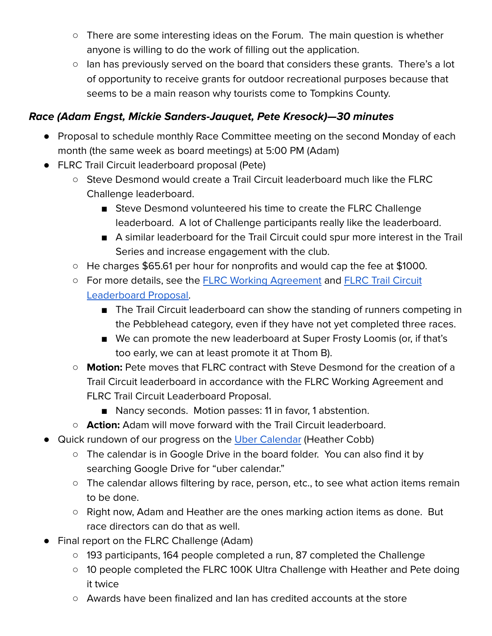- There are some interesting ideas on the Forum. The main question is whether anyone is willing to do the work of filling out the application.
- Ian has previously served on the board that considers these grants. There's a lot of opportunity to receive grants for outdoor recreational purposes because that seems to be a main reason why tourists come to Tompkins County.

#### **Race (Adam Engst, Mickie Sanders-Jauquet, Pete Kresock)—30 minutes**

- Proposal to schedule monthly Race Committee meeting on the second Monday of each month (the same week as board meetings) at 5:00 PM (Adam)
- FLRC Trail Circuit leaderboard proposal (Pete)
	- Steve Desmond would create a Trail Circuit leaderboard much like the FLRC Challenge leaderboard.
		- Steve Desmond volunteered his time to create the FLRC Challenge leaderboard. A lot of Challenge participants really like the leaderboard.
		- A similar leaderboard for the Trail Circuit could spur more interest in the Trail Series and increase engagement with the club.
	- He charges \$65.61 per hour for nonprofits and would cap the fee at \$1000.
	- For more details, see the **FLRC Working [Agreement](https://drive.google.com/file/d/1s8tK6BZp22V4HghzX40No4fYA4bdxn_A/view?usp=sharing) and FLRC Trail [Circuit](https://drive.google.com/file/d/18pkkkFWg_QZYL6qvY_zyW4pKO5W9aUKO/view?usp=sharing)** [Leaderboard](https://drive.google.com/file/d/18pkkkFWg_QZYL6qvY_zyW4pKO5W9aUKO/view?usp=sharing) Proposal.
		- The Trail Circuit leaderboard can show the standing of runners competing in the Pebblehead category, even if they have not yet completed three races.
		- We can promote the new leaderboard at Super Frosty Loomis (or, if that's too early, we can at least promote it at Thom B).
	- **Motion:** Pete moves that FLRC contract with Steve Desmond for the creation of a Trail Circuit leaderboard in accordance with the FLRC Working Agreement and FLRC Trail Circuit Leaderboard Proposal.
		- Nancy seconds. Motion passes: 11 in favor, 1 abstention.
	- **○ Action:** Adam will move forward with the Trail Circuit leaderboard.
- Quick rundown of our progress on the Uber [Calendar](https://docs.google.com/spreadsheets/u/0/d/1LpdICUS_x9gNU_FWy5M_JNdy3LdFIhwZeTHfRm0YqD0/edit) (Heather Cobb)
	- The calendar is in Google Drive in the board folder. You can also find it by searching Google Drive for "uber calendar."
	- The calendar allows filtering by race, person, etc., to see what action items remain to be done.
	- Right now, Adam and Heather are the ones marking action items as done. But race directors can do that as well.
- Final report on the FLRC Challenge (Adam)
	- 193 participants, 164 people completed a run, 87 completed the Challenge
	- 10 people completed the FLRC 100K Ultra Challenge with Heather and Pete doing it twice
	- Awards have been finalized and Ian has credited accounts at the store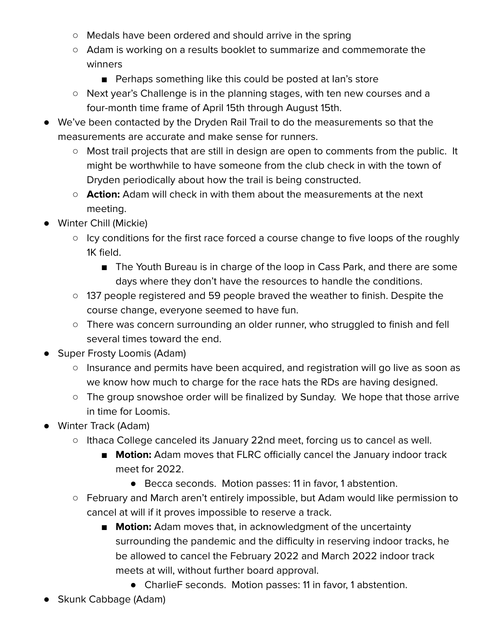- Medals have been ordered and should arrive in the spring
- Adam is working on a results booklet to summarize and commemorate the winners
	- Perhaps something like this could be posted at lan's store
- Next year's Challenge is in the planning stages, with ten new courses and a four-month time frame of April 15th through August 15th.
- We've been contacted by the Dryden Rail Trail to do the measurements so that the measurements are accurate and make sense for runners.
	- Most trail projects that are still in design are open to comments from the public. It might be worthwhile to have someone from the club check in with the town of Dryden periodically about how the trail is being constructed.
	- **Action:** Adam will check in with them about the measurements at the next meeting.
- Winter Chill (Mickie)
	- Icy conditions for the first race forced a course change to five loops of the roughly 1K field.
		- The Youth Bureau is in charge of the loop in Cass Park, and there are some days where they don't have the resources to handle the conditions.
	- 137 people registered and 59 people braved the weather to finish. Despite the course change, everyone seemed to have fun.
	- There was concern surrounding an older runner, who struggled to finish and fell several times toward the end.
- Super Frosty Loomis (Adam)
	- Insurance and permits have been acquired, and registration will go live as soon as we know how much to charge for the race hats the RDs are having designed.
	- The group snowshoe order will be finalized by Sunday. We hope that those arrive in time for Loomis.
- Winter Track (Adam)
	- Ithaca College canceled its January 22nd meet, forcing us to cancel as well.
		- **Motion:** Adam moves that FLRC officially cancel the January indoor track meet for 2022.
			- Becca seconds. Motion passes: 11 in favor, 1 abstention.
	- February and March aren't entirely impossible, but Adam would like permission to cancel at will if it proves impossible to reserve a track.
		- **Motion:** Adam moves that, in acknowledgment of the uncertainty surrounding the pandemic and the difficulty in reserving indoor tracks, he be allowed to cancel the February 2022 and March 2022 indoor track meets at will, without further board approval.
			- CharlieF seconds. Motion passes: 11 in favor, 1 abstention.
- Skunk Cabbage (Adam)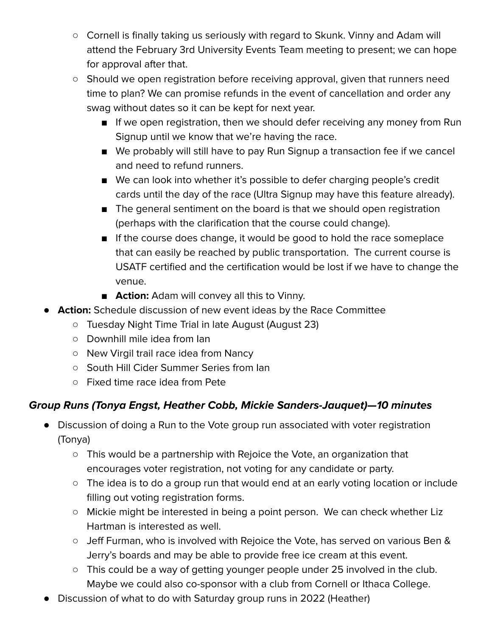- Cornell is finally taking us seriously with regard to Skunk. Vinny and Adam will attend the February 3rd University Events Team meeting to present; we can hope for approval after that.
- Should we open registration before receiving approval, given that runners need time to plan? We can promise refunds in the event of cancellation and order any swag without dates so it can be kept for next year.
	- If we open registration, then we should defer receiving any money from Run Signup until we know that we're having the race.
	- We probably will still have to pay Run Signup a transaction fee if we cancel and need to refund runners.
	- We can look into whether it's possible to defer charging people's credit cards until the day of the race (Ultra Signup may have this feature already).
	- The general sentiment on the board is that we should open registration (perhaps with the clarification that the course could change).
	- If the course does change, it would be good to hold the race someplace that can easily be reached by public transportation. The current course is USATF certified and the certification would be lost if we have to change the venue.
	- **Action:** Adam will convey all this to Vinny.
- **Action:** Schedule discussion of new event ideas by the Race Committee
	- Tuesday Night Time Trial in late August (August 23)
	- Downhill mile idea from Ian
	- New Virgil trail race idea from Nancy
	- South Hill Cider Summer Series from Ian
	- Fixed time race idea from Pete

#### **Group Runs (Tonya Engst, Heather Cobb, Mickie Sanders-Jauquet)—10 minutes**

- Discussion of doing a Run to the Vote group run associated with voter registration (Tonya)
	- This would be a partnership with Rejoice the Vote, an organization that encourages voter registration, not voting for any candidate or party.
	- The idea is to do a group run that would end at an early voting location or include filling out voting registration forms.
	- Mickie might be interested in being a point person. We can check whether Liz Hartman is interested as well.
	- Jeff Furman, who is involved with Rejoice the Vote, has served on various Ben & Jerry's boards and may be able to provide free ice cream at this event.
	- This could be a way of getting younger people under 25 involved in the club. Maybe we could also co-sponsor with a club from Cornell or Ithaca College.
- Discussion of what to do with Saturday group runs in 2022 (Heather)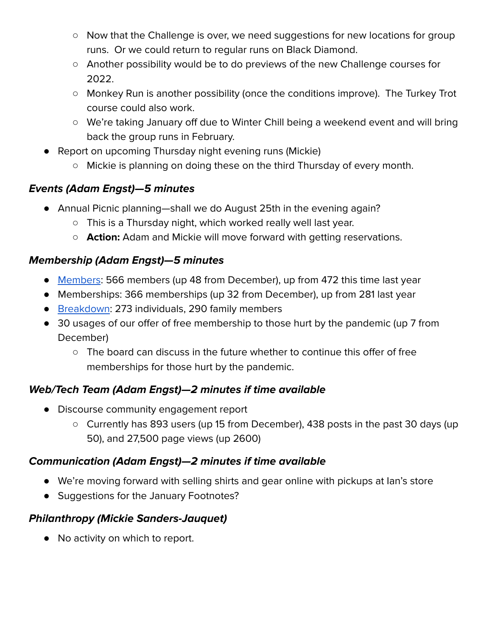- Now that the Challenge is over, we need suggestions for new locations for group runs. Or we could return to regular runs on Black Diamond.
- Another possibility would be to do previews of the new Challenge courses for 2022.
- Monkey Run is another possibility (once the conditions improve). The Turkey Trot course could also work.
- We're taking January off due to Winter Chill being a weekend event and will bring back the group runs in February.
- Report on upcoming Thursday night evening runs (Mickie)
	- Mickie is planning on doing these on the third Thursday of every month.

#### **Events (Adam Engst)—5 minutes**

- Annual Picnic planning—shall we do August 25th in the evening again?
	- This is a Thursday night, which worked really well last year.
	- **Action:** Adam and Mickie will move forward with getting reservations.

#### **Membership (Adam Engst)—5 minutes**

- [Members](https://runsignup.com/Club/Dashboard/1044): 566 members (up 48 from December), up from 472 this time last year
- Memberships: 366 memberships (up 32 from December), up from 281 last year
- [Breakdown:](https://runsignup.com/Club/Members/Reports/1044) 273 individuals, 290 family members
- 30 usages of our offer of free membership to those hurt by the pandemic (up 7 from December)
	- The board can discuss in the future whether to continue this offer of free memberships for those hurt by the pandemic.

#### **Web/Tech Team (Adam Engst)—2 minutes if time available**

- Discourse community engagement report
	- Currently has 893 users (up 15 from December), 438 posts in the past 30 days (up 50), and 27,500 page views (up 2600)

#### **Communication (Adam Engst)—2 minutes if time available**

- We're moving forward with selling shirts and gear online with pickups at Ian's store
- Suggestions for the January Footnotes?

#### **Philanthropy (Mickie Sanders-Jauquet)**

● No activity on which to report.